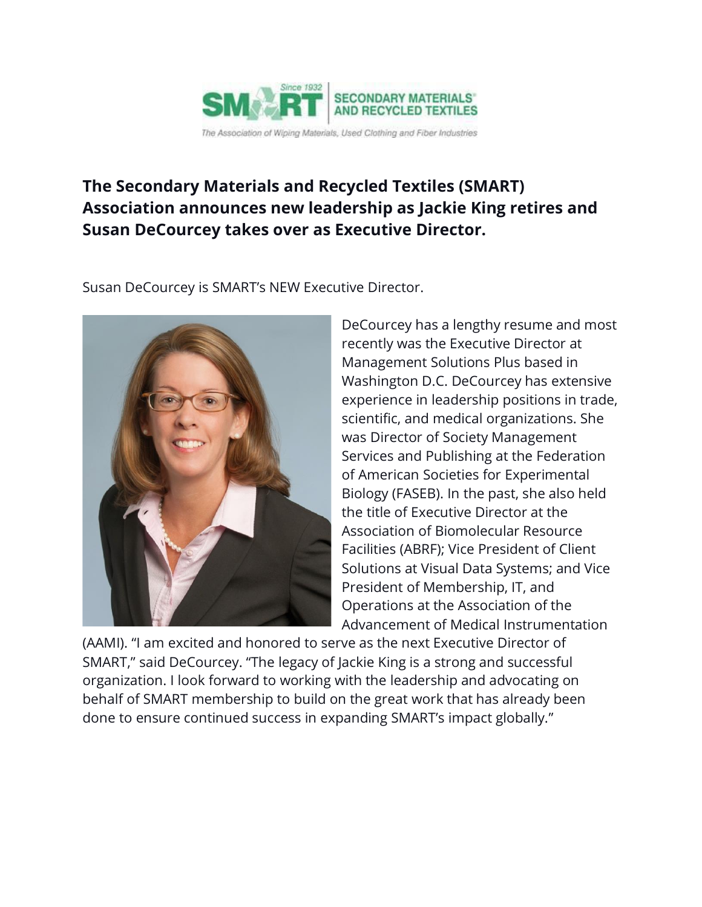

## **The Secondary Materials and Recycled Textiles (SMART) Association announces new leadership as Jackie King retires and Susan DeCourcey takes over as Executive Director.**

Susan DeCourcey is SMART's NEW Executive Director.



DeCourcey has a lengthy resume and most recently was the Executive Director at Management Solutions Plus based in Washington D.C. DeCourcey has extensive experience in leadership positions in trade, scientific, and medical organizations. She was Director of Society Management Services and Publishing at the Federation of American Societies for Experimental Biology (FASEB). In the past, she also held the title of Executive Director at the Association of Biomolecular Resource Facilities (ABRF); Vice President of Client Solutions at Visual Data Systems; and Vice President of Membership, IT, and Operations at the Association of the Advancement of Medical Instrumentation

(AAMI). "I am excited and honored to serve as the next Executive Director of SMART," said DeCourcey. "The legacy of Jackie King is a strong and successful organization. I look forward to working with the leadership and advocating on behalf of SMART membership to build on the great work that has already been done to ensure continued success in expanding SMART's impact globally."